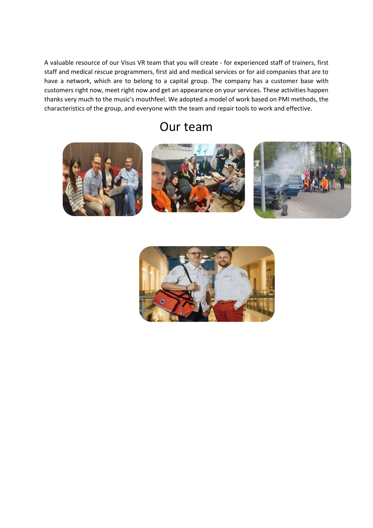A valuable resource of our Visus VR team that you will create - for experienced staff of trainers, first staff and medical rescue programmers, first aid and medical services or for aid companies that are to have a network, which are to belong to a capital group. The company has a customer base with customers right now, meet right now and get an appearance on your services. These activities happen thanks very much to the music's mouthfeel. We adopted a model of work based on PMI methods, the characteristics of the group, and everyone with the team and repair tools to work and effective.

# Our team



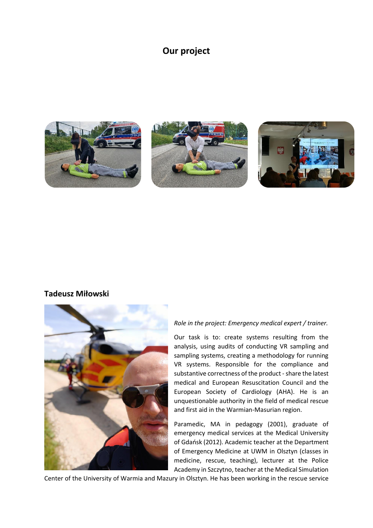## **Our project**



## **Tadeusz Miłowski**



### *Role in the project: Emergency medical expert / trainer.*

Our task is to: create systems resulting from the analysis, using audits of conducting VR sampling and sampling systems, creating a methodology for running VR systems. Responsible for the compliance and substantive correctness of the product - share the latest medical and European Resuscitation Council and the European Society of Cardiology (AHA). He is an unquestionable authority in the field of medical rescue and first aid in the Warmian-Masurian region.

Paramedic, MA in pedagogy (2001), graduate of emergency medical services at the Medical University of Gdańsk (2012). Academic teacher at the Department of Emergency Medicine at UWM in Olsztyn (classes in medicine, rescue, teaching), lecturer at the Police Academy in Szczytno, teacher at the Medical Simulation

Center of the University of Warmia and Mazury in Olsztyn. He has been working in the rescue service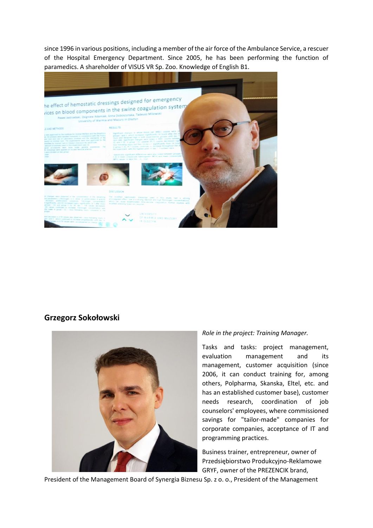since 1996 in various positions, including a member of the air force of the Ambulance Service, a rescuer of the Hospital Emergency Department. Since 2005, he has been performing the function of paramedics. A shareholder of VISUS VR Sp. Zoo. Knowledge of English B1.



## **Grzegorz Sokołowski**



### *Role in the project: Training Manager.*

Tasks and tasks: project management, evaluation management and its management, customer acquisition (since 2006, it can conduct training for, among others, Polpharma, Skanska, Eltel, etc. and has an established customer base), customer needs research, coordination of job counselors' employees, where commissioned savings for "tailor-made" companies for corporate companies, acceptance of IT and programming practices.

Business trainer, entrepreneur, owner of Przedsiębiorstwo Produkcyjno-Reklamowe GRYF, owner of the PREZENCIK brand,

President of the Management Board of Synergia Biznesu Sp. z o. o., President of the Management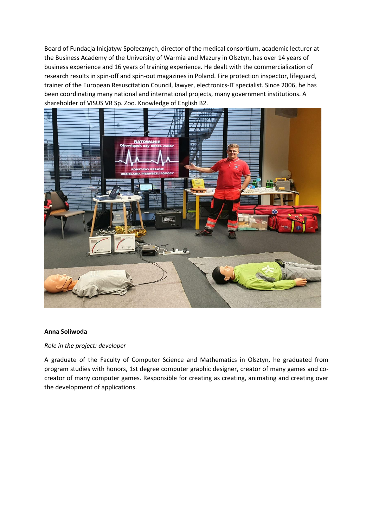Board of Fundacja Inicjatyw Społecznych, director of the medical consortium, academic lecturer at the Business Academy of the University of Warmia and Mazury in Olsztyn, has over 14 years of business experience and 16 years of training experience. He dealt with the commercialization of research results in spin-off and spin-out magazines in Poland. Fire protection inspector, lifeguard, trainer of the European Resuscitation Council, lawyer, electronics-IT specialist. Since 2006, he has been coordinating many national and international projects, many government institutions. A shareholder of VISUS VR Sp. Zoo. Knowledge of English B2.



### **Anna Soliwoda**

### *Role in the project: developer*

A graduate of the Faculty of Computer Science and Mathematics in Olsztyn, he graduated from program studies with honors, 1st degree computer graphic designer, creator of many games and cocreator of many computer games. Responsible for creating as creating, animating and creating over the development of applications.